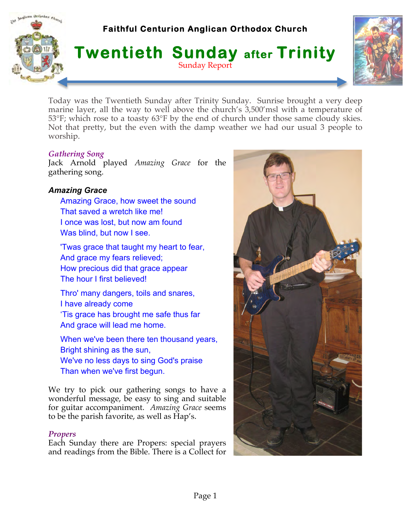# **Faithful Centurion Anglican Orthodox Church**





Today was the Twentieth Sunday after Trinity Sunday. Sunrise brought a very deep marine layer, all the way to well above the church's 3,500'msl with a temperature of 53°F; which rose to a toasty 63°F by the end of church under those same cloudy skies. Not that pretty, but the even with the damp weather we had our usual 3 people to worship.

#### *Gathering Song*

Indican Orthodox ehmet

Jack Arnold played *Amazing Grace* for the gathering song.

# *Amazing Grace*

- Amazing Grace, how sweet the sound That saved a wretch like me! I once was lost, but now am found Was blind, but now I see.
- 'Twas grace that taught my heart to fear, And grace my fears relieved; How precious did that grace appear The hour I first believed!
- Thro' many dangers, toils and snares, I have already come 'Tis grace has brought me safe thus far And grace will lead me home.
- When we've been there ten thousand years, Bright shining as the sun, We've no less days to sing God's praise Than when we've first begun.

We try to pick our gathering songs to have a wonderful message, be easy to sing and suitable for guitar accompaniment. *Amazing Grace* seems to be the parish favorite, as well as Hap's.

#### *Propers*

Each Sunday there are Propers: special prayers and readings from the Bible. There is a Collect for

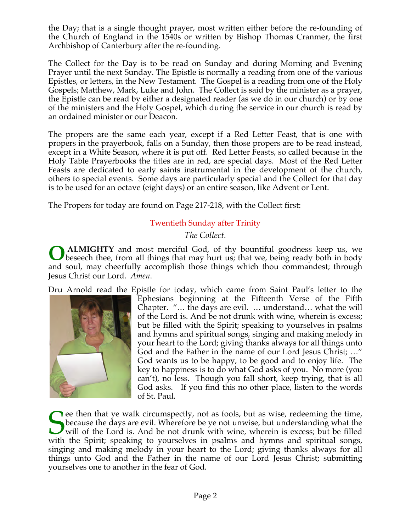the Day; that is a single thought prayer, most written either before the re-founding of the Church of England in the 1540s or written by Bishop Thomas Cranmer, the first Archbishop of Canterbury after the re-founding.

The Collect for the Day is to be read on Sunday and during Morning and Evening Prayer until the next Sunday. The Epistle is normally a reading from one of the various Epistles, or letters, in the New Testament. The Gospel is a reading from one of the Holy Gospels; Matthew, Mark, Luke and John. The Collect is said by the minister as a prayer, the Epistle can be read by either a designated reader (as we do in our church) or by one of the ministers and the Holy Gospel, which during the service in our church is read by an ordained minister or our Deacon.

The propers are the same each year, except if a Red Letter Feast, that is one with propers in the prayerbook, falls on a Sunday, then those propers are to be read instead, except in a White Season, where it is put off. Red Letter Feasts, so called because in the Holy Table Prayerbooks the titles are in red, are special days. Most of the Red Letter Feasts are dedicated to early saints instrumental in the development of the church, others to special events. Some days are particularly special and the Collect for that day is to be used for an octave (eight days) or an entire season, like Advent or Lent.

The Propers for today are found on Page 217-218, with the Collect first:

# Twentieth Sunday after Trinity

*The Collect.*

**ALMIGHTY** and most merciful God, of thy bountiful goodness keep us, we **O** ALMIGHTY and most merciful God, of thy bountiful goodness keep us, we beseech thee, from all things that may hurt us; that we, being ready both in body and soul, may cheerfully accomplish those things which thou commandest; through Jesus Christ our Lord. *Amen*.

Dru Arnold read the Epistle for today, which came from Saint Paul's letter to the



Ephesians beginning at the Fifteenth Verse of the Fifth Chapter. "… the days are evil. … understand… what the will of the Lord is. And be not drunk with wine, wherein is excess; but be filled with the Spirit; speaking to yourselves in psalms and hymns and spiritual songs, singing and making melody in your heart to the Lord; giving thanks always for all things unto God and the Father in the name of our Lord Jesus Christ; …" God wants us to be happy, to be good and to enjoy life. The key to happiness is to do what God asks of you. No more (you can't), no less. Though you fall short, keep trying, that is all God asks. If you find this no other place, listen to the words of St. Paul.

Secause the days are evil. Wherefore be ye not unwise, but understanding what the will of the Lord is. And be not drunk with wine, wherein is excess; but be filled with the Spirit: speaking to vourselves in psalms and hymn because the days are evil. Wherefore be ye not unwise, but understanding what the will of the Lord is. And be not drunk with wine, wherein is excess; but be filled with the Spirit; speaking to yourselves in psalms and hymns and spiritual songs, singing and making melody in your heart to the Lord; giving thanks always for all things unto God and the Father in the name of our Lord Jesus Christ; submitting yourselves one to another in the fear of God.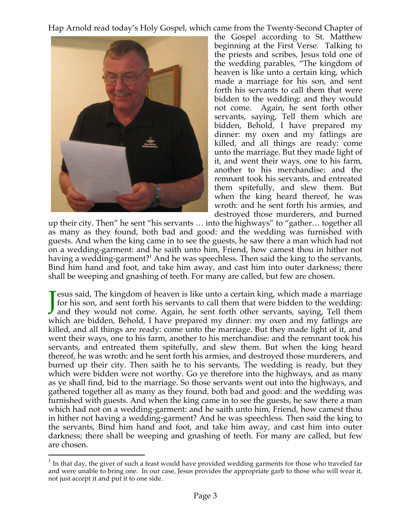Hap Arnold read today's Holy Gospel, which came from the Twenty-Second Chapter of



the Gospel according to St. Matthew beginning at the First Verse. Talking to the priests and scribes, Jesus told one of the wedding parables, "The kingdom of heaven is like unto a certain king, which made a marriage for his son, and sent forth his servants to call them that were bidden to the wedding: and they would not come. Again, he sent forth other servants, saying, Tell them which are bidden, Behold, I have prepared my dinner: my oxen and my fatlings are killed, and all things are ready: come unto the marriage. But they made light of it, and went their ways, one to his farm, another to his merchandise: and the remnant took his servants, and entreated them spitefully, and slew them. But when the king heard thereof, he was wroth: and he sent forth his armies, and destroyed those murderers, and burned

up their city. Then" he sent "his servants ... into the highways" to "gather... together all as many as they found, both bad and good: and the wedding was furnished with guests. And when the king came in to see the guests, he saw there a man which had not on a wedding-garment: and he saith unto him, Friend, how camest thou in hither not having a wedding-garment?<sup>1</sup> And he was speechless. Then said the king to the servants, Bind him hand and foot, and take him away, and cast him into outer darkness; there shall be weeping and gnashing of teeth. For many are called, but few are chosen.

**J** esus said, The kingdom of heaven is like unto a certain king, which made a marriage for his son, and sent forth his servants to call them that were bidden to the wedding: and they would not come. Again, he sent forth o for his son, and sent forth his servants to call them that were bidden to the wedding: and they would not come. Again, he sent forth other servants, saying, Tell them which are bidden, Behold, I have prepared my dinner: my oxen and my fatlings are killed, and all things are ready: come unto the marriage. But they made light of it, and went their ways, one to his farm, another to his merchandise: and the remnant took his servants, and entreated them spitefully, and slew them. But when the king heard thereof, he was wroth: and he sent forth his armies, and destroyed those murderers, and burned up their city. Then saith he to his servants, The wedding is ready, but they which were bidden were not worthy. Go ye therefore into the highways, and as many as ye shall find, bid to the marriage. So those servants went out into the highways, and gathered together all as many as they found, both bad and good: and the wedding was furnished with guests. And when the king came in to see the guests, he saw there a man which had not on a wedding-garment: and he saith unto him, Friend, how camest thou in hither not having a wedding-garment? And he was speechless. Then said the king to the servants, Bind him hand and foot, and take him away, and cast him into outer darkness; there shall be weeping and gnashing of teeth. For many are called, but few are chosen.

 $1$  In that day, the giver of such a feast would have provided wedding garments for those who traveled far and were unable to bring one. In our case, Jesus provides the appropriate garb to those who will wear it, not just accept it and put it to one side.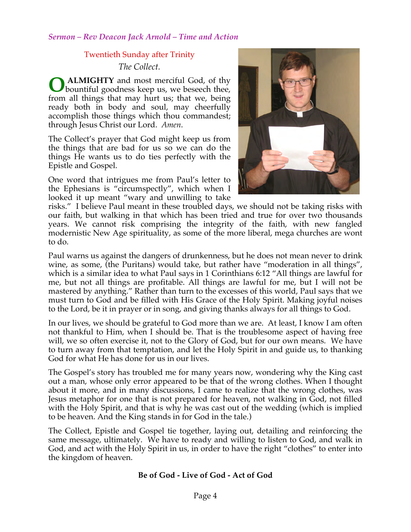### Twentieth Sunday after Trinity

*The Collect.*

**ALMIGHTY** and most merciful God, of thy bountiful goodness keep us, we beseech thee, from all things that may hurt us; that we, being ready both in body and soul, may cheerfully accomplish those things which thou commandest; through Jesus Christ our Lord. *Amen*. **O**

The Collect's prayer that God might keep us from the things that are bad for us so we can do the things He wants us to do ties perfectly with the Epistle and Gospel.

One word that intrigues me from Paul's letter to the Ephesians is "circumspectly", which when I looked it up meant "wary and unwilling to take



risks." I believe Paul meant in these troubled days, we should not be taking risks with our faith, but walking in that which has been tried and true for over two thousands years. We cannot risk comprising the integrity of the faith, with new fangled modernistic New Age spirituality, as some of the more liberal, mega churches are wont to do.

Paul warns us against the dangers of drunkenness, but he does not mean never to drink wine, as some, (the Puritans) would take, but rather have "moderation in all things", which is a similar idea to what Paul says in 1 Corinthians 6:12 "All things are lawful for me, but not all things are profitable. All things are lawful for me, but I will not be mastered by anything." Rather than turn to the excesses of this world, Paul says that we must turn to God and be filled with His Grace of the Holy Spirit. Making joyful noises to the Lord, be it in prayer or in song, and giving thanks always for all things to God.

In our lives, we should be grateful to God more than we are. At least, I know I am often not thankful to Him, when I should be. That is the troublesome aspect of having free will, we so often exercise it, not to the Glory of God, but for our own means. We have to turn away from that temptation, and let the Holy Spirit in and guide us, to thanking God for what He has done for us in our lives.

The Gospel's story has troubled me for many years now, wondering why the King cast out a man, whose only error appeared to be that of the wrong clothes. When I thought about it more, and in many discussions, I came to realize that the wrong clothes, was Jesus metaphor for one that is not prepared for heaven, not walking in God, not filled with the Holy Spirit, and that is why he was cast out of the wedding (which is implied to be heaven. And the King stands in for God in the tale.)

The Collect, Epistle and Gospel tie together, laying out, detailing and reinforcing the same message, ultimately. We have to ready and willing to listen to God, and walk in God, and act with the Holy Spirit in us, in order to have the right "clothes" to enter into the kingdom of heaven.

# **Be of God - Live of God - Act of God**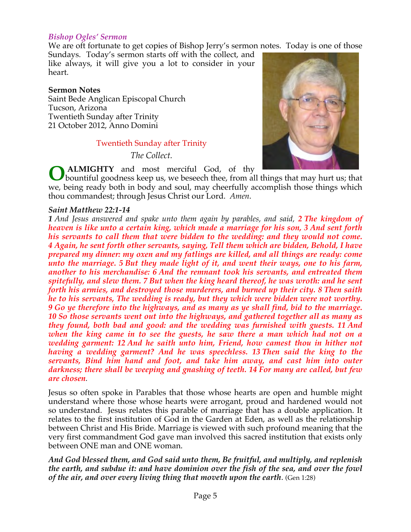#### *Bishop Ogles' Sermon*

We are oft fortunate to get copies of Bishop Jerry's sermon notes. Today is one of those

Sundays. Today's sermon starts off with the collect, and like always, it will give you a lot to consider in your heart.

#### **Sermon Notes**

Saint Bede Anglican Episcopal Church Tucson, Arizona Twentieth Sunday after Trinity 21 October 2012, Anno Domini

#### Twentieth Sunday after Trinity

*The Collect.*



**ALMIGHTY** and most merciful God, of thy **O** ALMIGHTY and most merciful God, of thy bountiful goodness keep us, we beseech thee, from all things that may hurt us; that we, being ready both in body and soul, may cheerfully accomplish those things which thou commandest; through Jesus Christ our Lord. *Amen*.

#### *Saint Matthew 22:1-14*

**1** And Jesus answered and spake unto them again by parables, and said, 2 **The kingdom of** *heaven is like unto a certain king, which made a marriage for his son, 3 And sent forth his servants to call them that were bidden to the wedding: and they would not come. 4 Again, he sent forth other servants, saying, Tell them which are bidden, Behold, I have prepared my dinner: my oxen and my fatlings are killed, and all things are ready: come unto the marriage. 5 But they made light of it, and went their ways, one to his farm, another to his merchandise: 6 And the remnant took his servants, and entreated them spitefully, and slew them. 7 But when the king heard thereof, he was wroth: and he sent forth his armies, and destroyed those murderers, and burned up their city. 8 Then saith he to his servants, The wedding is ready, but they which were bidden were not worthy. 9 Go ye therefore into the highways, and as many as ye shall find, bid to the marriage. 10 So those servants went out into the highways, and gathered together all as many as they found, both bad and good: and the wedding was furnished with guests. 11 And when the king came in to see the guests, he saw there a man which had not on a wedding garment: 12 And he saith unto him, Friend, how camest thou in hither not having a wedding garment? And he was speechless. 13 Then said the king to the servants, Bind him hand and foot, and take him away, and cast him into outer darkness; there shall be weeping and gnashing of teeth. 14 For many are called, but few are chosen.*

Jesus so often spoke in Parables that those whose hearts are open and humble might understand where those whose hearts were arrogant, proud and hardened would not so understand. Jesus relates this parable of marriage that has a double application. It relates to the first institution of God in the Garden at Eden, as well as the relationship between Christ and His Bride. Marriage is viewed with such profound meaning that the very first commandment God gave man involved this sacred institution that exists only between ONE man and ONE woman.

*And God blessed them, and God said unto them, Be fruitful, and multiply, and replenish the earth, and subdue it: and have dominion over the fish of the sea, and over the fowl of the air, and over every living thing that moveth upon the earth*. (Gen 1:28)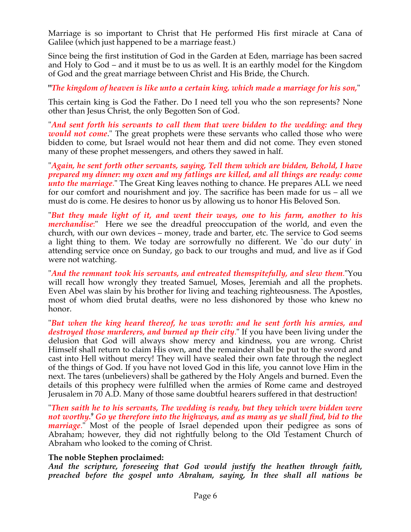Marriage is so important to Christ that He performed His first miracle at Cana of Galilee (which just happened to be a marriage feast.)

Since being the first institution of God in the Garden at Eden, marriage has been sacred and Holy to God – and it must be to us as well. It is an earthly model for the Kingdom of God and the great marriage between Christ and His Bride, the Church.

**"***The kingdom of heaven is like unto a certain king, which made a marriage for his son,*"

This certain king is God the Father. Do I need tell you who the son represents? None other than Jesus Christ, the only Begotten Son of God.

"*And sent forth his servants to call them that were bidden to the wedding: and they would not come*." The great prophets were these servants who called those who were bidden to come, but Israel would not hear them and did not come. They even stoned many of these prophet messengers, and others they sawed in half.

"*Again, he sent forth other servants, saying, Tell them which are bidden, Behold, I have prepared my dinner: my oxen and my fatlings are killed, and all things are ready: come unto the marriage*." The Great King leaves nothing to chance. He prepares ALL we need for our comfort and nourishment and joy. The sacrifice has been made for us – all we must do is come. He desires to honor us by allowing us to honor His Beloved Son.

"*But they made light of it, and went their ways, one to his farm, another to his merchandise*:" Here we see the dreadful preoccupation of the world, and even the church, with our own devices – money, trade and barter, etc. The service to God seems a light thing to them. We today are sorrowfully no different. We `do our duty' in attending service once on Sunday, go back to our troughs and mud, and live as if God were not watching.

"*And the remnant took his servants, and entreated themspitefully, and slew them*."You will recall how wrongly they treated Samuel, Moses, Jeremiah and all the prophets. Even Abel was slain by his brother for living and teaching righteousness. The Apostles, most of whom died brutal deaths, were no less dishonored by those who knew no honor.

"*But when the king heard thereof, he was wroth: and he sent forth his armies, and destroyed those murderers, and burned up their city*." If you have been living under the delusion that God will always show mercy and kindness, you are wrong. Christ Himself shall return to claim His own, and the remainder shall be put to the sword and cast into Hell without mercy! They will have sealed their own fate through the neglect of the things of God. If you have not loved God in this life, you cannot love Him in the next. The tares (unbelievers) shall be gathered by the Holy Angels and burned. Even the details of this prophecy were fulfilled when the armies of Rome came and destroyed Jerusalem in 70 A.D. Many of those same doubtful hearers suffered in that destruction!

"*Then saith he to his servants, The wedding is ready, but they which were bidden were not worthy.<sup>9</sup> Go ye therefore into the highways, and as many as ye shall find, bid to the marriage*." Most of the people of Israel depended upon their pedigree as sons of Abraham; however, they did not rightfully belong to the Old Testament Church of Abraham who looked to the coming of Christ.

# **The noble Stephen proclaimed:**

*And the scripture, foreseeing that God would justify the heathen through faith, preached before the gospel unto Abraham, saying, In thee shall all nations be*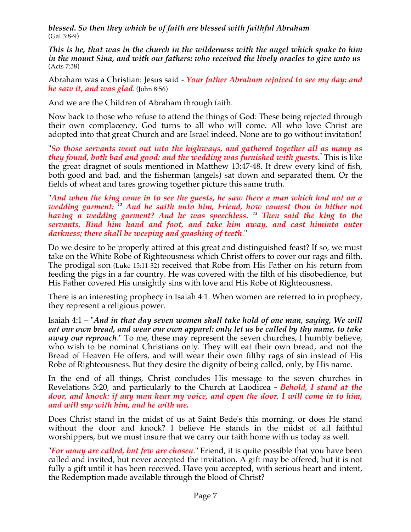*blessed. So then they which be of faith are blessed with faithful Abraham* (Gal 3:8-9)

*This is he, that was in the church in the wilderness with the angel which spake to him in the mount Sina, and with our fathers: who received the lively oracles to give unto us* (Acts 7:38)

Abraham was a Christian: Jesus said - *Your father Abraham rejoiced to see my day: and he saw it, and was glad*. (John 8:56)

And we are the Children of Abraham through faith.

Now back to those who refuse to attend the things of God: These being rejected through their own complacency, God turns to all who will come. All who love Christ are adopted into that great Church and are Israel indeed. None are to go without invitation!

"*So those servants went out into the highways, and gathered together all as many as they found, both bad and good: and the wedding was furnished with guests.***"** This is like the great dragnet of souls mentioned in Matthew 13:47-48. It drew every kind of fish, both good and bad, and the fisherman (angels) sat down and separated them. Or the fields of wheat and tares growing together picture this same truth.

"*And when the king came in to see the guests, he saw there a man which had not on a wedding garment: 12 And he saith unto him, Friend, how camest thou in hither not having a wedding garment? And he was speechless. 13 Then said the king to the servants, Bind him hand and foot, and take him away, and cast himinto outer darkness; there shall be weeping and gnashing of teeth*."

Do we desire to be properly attired at this great and distinguished feast? If so, we must take on the White Robe of Righteousness which Christ offers to cover our rags and filth. The prodigal son (Luke 15:11-32) received that Robe from His Father on his return from feeding the pigs in a far country. He was covered with the filth of his disobedience, but His Father covered His unsightly sins with love and His Robe of Righteousness.

There is an interesting prophecy in Isaiah 4:1. When women are referred to in prophecy, they represent a religious power.

Isaiah 4:1 – "*And in that day seven women shall take hold of one man, saying, We will eat our own bread, and wear our own apparel: only let us be called by thy name, to take away our reproach*." To me, these may represent the seven churches, I humbly believe, who wish to be nominal Christians only. They will eat their own bread, and not the Bread of Heaven He offers, and will wear their own filthy rags of sin instead of His Robe of Righteousness. But they desire the dignity of being called, only, by His name.

In the end of all things, Christ concludes His message to the seven churches in Revelations 3:20, and particularly to the Church at Laodicea *- Behold, I stand at the door, and knock: if any man hear my voice, and open the door, I will come in to him, and will sup with him, and he with me.*

Does Christ stand in the midst of us at Saint Bede's this morning, or does He stand without the door and knock? I believe He stands in the midst of all faithful worshippers, but we must insure that we carry our faith home with us today as well.

"*For many are called, but few are chosen*." Friend, it is quite possible that you have been called and invited, but never accepted the invitation. A gift may be offered, but it is not fully a gift until it has been received. Have you accepted, with serious heart and intent, the Redemption made available through the blood of Christ?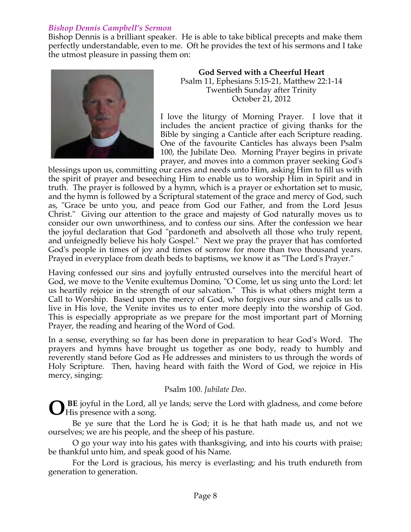# *Bishop Dennis Campbell's Sermon*

Bishop Dennis is a brilliant speaker. He is able to take biblical precepts and make them perfectly understandable, even to me. Oft he provides the text of his sermons and I take the utmost pleasure in passing them on:



**God Served with a Cheerful Heart** Psalm 11, Ephesians 5:15-21, Matthew 22:1-14 Twentieth Sunday after Trinity October 21, 2012

I love the liturgy of Morning Prayer. I love that it includes the ancient practice of giving thanks for the Bible by singing a Canticle after each Scripture reading. One of the favourite Canticles has always been Psalm 100, the Jubilate Deo. Morning Prayer begins in private prayer, and moves into a common prayer seeking God's

blessings upon us, committing our cares and needs unto Him, asking Him to fill us with the spirit of prayer and beseeching Him to enable us to worship Him in Spirit and in truth. The prayer is followed by a hymn, which is a prayer or exhortation set to music, and the hymn is followed by a Scriptural statement of the grace and mercy of God, such as, "Grace be unto you, and peace from God our Father, and from the Lord Jesus Christ." Giving our attention to the grace and majesty of God naturally moves us to consider our own unworthiness, and to confess our sins. After the confession we hear the joyful declaration that God "pardoneth and absolveth all those who truly repent, and unfeignedly believe his holy Gospel." Next we pray the prayer that has comforted God's people in times of joy and times of sorrow for more than two thousand years. Prayed in everyplace from death beds to baptisms, we know it as "The Lord's Prayer."

Having confessed our sins and joyfully entrusted ourselves into the merciful heart of God, we move to the Venite exultemus Domino, "O Come, let us sing unto the Lord: let us heartily rejoice in the strength of our salvation." This is what others might term a Call to Worship. Based upon the mercy of God, who forgives our sins and calls us to live in His love, the Venite invites us to enter more deeply into the worship of God. This is especially appropriate as we prepare for the most important part of Morning Prayer, the reading and hearing of the Word of God.

In a sense, everything so far has been done in preparation to hear God's Word. The prayers and hymns have brought us together as one body, ready to humbly and reverently stand before God as He addresses and ministers to us through the words of Holy Scripture. Then, having heard with faith the Word of God, we rejoice in His mercy, singing:

#### Psalm 100. *Jubilate Deo*.

 **BE** joyful in the Lord, all ye lands; serve the Lord with gladness, and come before **O** His presence with a song.

 Be ye sure that the Lord he is God; it is he that hath made us, and not we ourselves; we are his people, and the sheep of his pasture.

 O go your way into his gates with thanksgiving, and into his courts with praise; be thankful unto him, and speak good of his Name.

 For the Lord is gracious, his mercy is everlasting; and his truth endureth from generation to generation.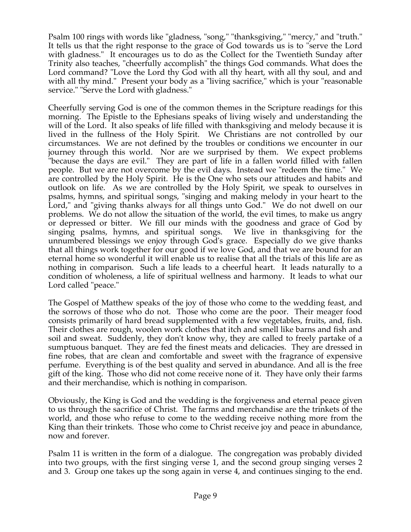Psalm 100 rings with words like "gladness, "song," "thanksgiving," "mercy," and "truth." It tells us that the right response to the grace of God towards us is to "serve the Lord with gladness." It encourages us to do as the Collect for the Twentieth Sunday after Trinity also teaches, "cheerfully accomplish" the things God commands. What does the Lord command? "Love the Lord thy God with all thy heart, with all thy soul, and and with all thy mind." Present your body as a "living sacrifice," which is your "reasonable service." "Serve the Lord with gladness."

Cheerfully serving God is one of the common themes in the Scripture readings for this morning. The Epistle to the Ephesians speaks of living wisely and understanding the will of the Lord. It also speaks of life filled with thanksgiving and melody because it is lived in the fullness of the Holy Spirit. We Christians are not controlled by our circumstances. We are not defined by the troubles or conditions we encounter in our journey through this world. Nor are we surprised by them. We expect problems "because the days are evil." They are part of life in a fallen world filled with fallen people. But we are not overcome by the evil days. Instead we "redeem the time." We are controlled by the Holy Spirit. He is the One who sets our attitudes and habits and outlook on life. As we are controlled by the Holy Spirit, we speak to ourselves in psalms, hymns, and spiritual songs, "singing and making melody in your heart to the Lord," and "giving thanks always for all things unto God." We do not dwell on our problems. We do not allow the situation of the world, the evil times, to make us angry or depressed or bitter. We fill our minds with the goodness and grace of God by singing psalms, hymns, and spiritual songs. We live in thanksgiving for the unnumbered blessings we enjoy through God's grace. Especially do we give thanks that all things work together for our good if we love God, and that we are bound for an eternal home so wonderful it will enable us to realise that all the trials of this life are as nothing in comparison. Such a life leads to a cheerful heart. It leads naturally to a condition of wholeness, a life of spiritual wellness and harmony. It leads to what our Lord called "peace."

The Gospel of Matthew speaks of the joy of those who come to the wedding feast, and the sorrows of those who do not. Those who come are the poor. Their meager food consists primarily of hard bread supplemented with a few vegetables, fruits, and, fish. Their clothes are rough, woolen work clothes that itch and smell like barns and fish and soil and sweat. Suddenly, they don't know why, they are called to freely partake of a sumptuous banquet. They are fed the finest meats and delicacies. They are dressed in fine robes, that are clean and comfortable and sweet with the fragrance of expensive perfume. Everything is of the best quality and served in abundance. And all is the free gift of the king. Those who did not come receive none of it. They have only their farms and their merchandise, which is nothing in comparison.

Obviously, the King is God and the wedding is the forgiveness and eternal peace given to us through the sacrifice of Christ. The farms and merchandise are the trinkets of the world, and those who refuse to come to the wedding receive nothing more from the King than their trinkets. Those who come to Christ receive joy and peace in abundance, now and forever.

Psalm 11 is written in the form of a dialogue. The congregation was probably divided into two groups, with the first singing verse 1, and the second group singing verses 2 and 3. Group one takes up the song again in verse 4, and continues singing to the end.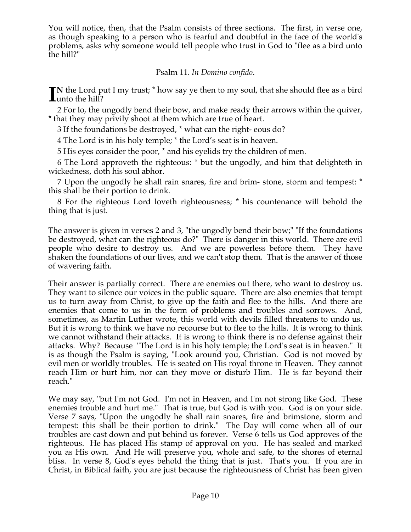You will notice, then, that the Psalm consists of three sections. The first, in verse one, as though speaking to a person who is fearful and doubtful in the face of the world's problems, asks why someone would tell people who trust in God to "flee as a bird unto the hill?"

Psalm 11. *In Domino confido*.

**N** the Lord put I my trust; \* how say ye then to my soul, that she should flee as a bird IN the Lord p<br>
lunto the hill?

2 For lo, the ungodly bend their bow, and make ready their arrows within the quiver, \* that they may privily shoot at them which are true of heart.

3 If the foundations be destroyed, \* what can the right- eous do?

4 The Lord is in his holy temple; \* the Lord's seat is in heaven.

5 His eyes consider the poor, \* and his eyelids try the children of men.

6 The Lord approveth the righteous: \* but the ungodly, and him that delighteth in wickedness, doth his soul abhor.

7 Upon the ungodly he shall rain snares, fire and brim- stone, storm and tempest: \* this shall be their portion to drink.

8 For the righteous Lord loveth righteousness; \* his countenance will behold the thing that is just.

The answer is given in verses 2 and 3, "the ungodly bend their bow;" "If the foundations be destroyed, what can the righteous do?" There is danger in this world. There are evil people who desire to destroy us. And we are powerless before them. They have shaken the foundations of our lives, and we can't stop them. That is the answer of those of wavering faith.

Their answer is partially correct. There are enemies out there, who want to destroy us. They want to silence our voices in the public square. There are also enemies that tempt us to turn away from Christ, to give up the faith and flee to the hills. And there are enemies that come to us in the form of problems and troubles and sorrows. And, sometimes, as Martin Luther wrote, this world with devils filled threatens to undo us. But it is wrong to think we have no recourse but to flee to the hills. It is wrong to think we cannot withstand their attacks. It is wrong to think there is no defense against their attacks. Why? Because "The Lord is in his holy temple; the Lord's seat is in heaven." It is as though the Psalm is saying, "Look around you, Christian. God is not moved by evil men or worldly troubles. He is seated on His royal throne in Heaven. They cannot reach Him or hurt him, nor can they move or disturb Him. He is far beyond their reach."

We may say, "but I'm not God. I'm not in Heaven, and I'm not strong like God. These enemies trouble and hurt me." That is true, but God is with you. God is on your side. Verse 7 says, "Upon the ungodly he shall rain snares, fire and brimstone, storm and tempest: this shall be their portion to drink." The Day will come when all of our troubles are cast down and put behind us forever. Verse 6 tells us God approves of the righteous. He has placed His stamp of approval on you. He has sealed and marked you as His own. And He will preserve you, whole and safe, to the shores of eternal bliss. In verse 8, God's eyes behold the thing that is just. That's you. If you are in Christ, in Biblical faith, you are just because the righteousness of Christ has been given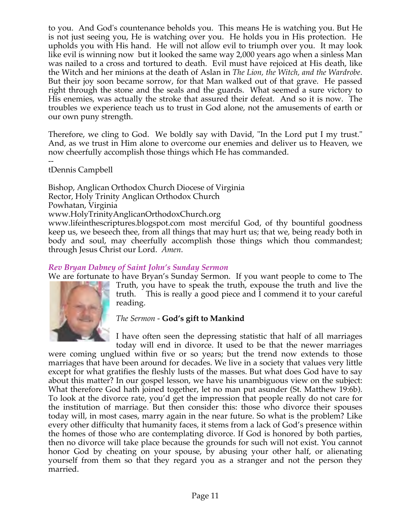to you. And God's countenance beholds you. This means He is watching you. But He is not just seeing you, He is watching over you. He holds you in His protection. He upholds you with His hand. He will not allow evil to triumph over you. It may look like evil is winning now but it looked the same way 2,000 years ago when a sinless Man was nailed to a cross and tortured to death. Evil must have rejoiced at His death, like the Witch and her minions at the death of Aslan in *The Lion, the Witch, and the Wardrobe*. But their joy soon became sorrow, for that Man walked out of that grave. He passed right through the stone and the seals and the guards. What seemed a sure victory to His enemies, was actually the stroke that assured their defeat. And so it is now. The troubles we experience teach us to trust in God alone, not the amusements of earth or our own puny strength.

Therefore, we cling to God. We boldly say with David, "In the Lord put I my trust." And, as we trust in Him alone to overcome our enemies and deliver us to Heaven, we now cheerfully accomplish those things which He has commanded.

- tDennis Campbell

Bishop, Anglican Orthodox Church Diocese of Virginia Rector, Holy Trinity Anglican Orthodox Church Powhatan, Virginia www.HolyTrinityAnglicanOrthodoxChurch.org www.lifeinthescriptures.blogspot.com most merciful God, of thy bountiful goodness keep us, we beseech thee, from all things that may hurt us; that we, being ready both in body and soul, may cheerfully accomplish those things which thou commandest; through Jesus Christ our Lord. *Amen*.

# *Rev Bryan Dabney of Saint John's Sunday Sermon*

We are fortunate to have Bryan's Sunday Sermon. If you want people to come to The



Truth, you have to speak the truth, expouse the truth and live the truth. This is really a good piece and I commend it to your careful reading.

# *The Sermon -* **God's gift to Mankind**

I have often seen the depressing statistic that half of all marriages today will end in divorce. It used to be that the newer marriages

were coming unglued within five or so years; but the trend now extends to those marriages that have been around for decades. We live in a society that values very little except for what gratifies the fleshly lusts of the masses. But what does God have to say about this matter? In our gospel lesson, we have his unambiguous view on the subject: What therefore God hath joined together, let no man put asunder (St. Matthew 19:6b). To look at the divorce rate, you'd get the impression that people really do not care for the institution of marriage. But then consider this: those who divorce their spouses today will, in most cases, marry again in the near future. So what is the problem? Like every other difficulty that humanity faces, it stems from a lack of God's presence within the homes of those who are contemplating divorce. If God is honored by both parties, then no divorce will take place because the grounds for such will not exist. You cannot honor God by cheating on your spouse, by abusing your other half, or alienating yourself from them so that they regard you as a stranger and not the person they married.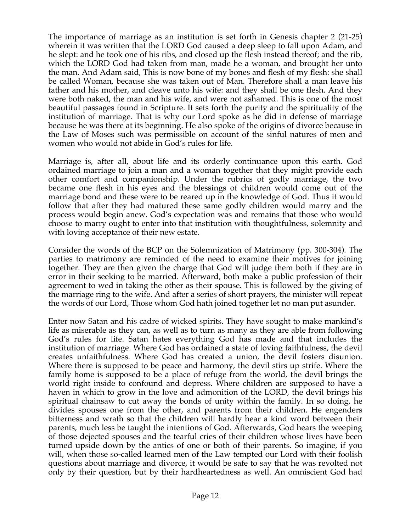The importance of marriage as an institution is set forth in Genesis chapter 2 (21-25) wherein it was written that the LORD God caused a deep sleep to fall upon Adam, and he slept: and he took one of his ribs, and closed up the flesh instead thereof; and the rib, which the LORD God had taken from man, made he a woman, and brought her unto the man. And Adam said, This is now bone of my bones and flesh of my flesh: she shall be called Woman, because she was taken out of Man. Therefore shall a man leave his father and his mother, and cleave unto his wife: and they shall be one flesh. And they were both naked, the man and his wife, and were not ashamed. This is one of the most beautiful passages found in Scripture. It sets forth the purity and the spirituality of the institution of marriage. That is why our Lord spoke as he did in defense of marriage because he was there at its beginning. He also spoke of the origins of divorce because in the Law of Moses such was permissible on account of the sinful natures of men and women who would not abide in God's rules for life.

Marriage is, after all, about life and its orderly continuance upon this earth. God ordained marriage to join a man and a woman together that they might provide each other comfort and companionship. Under the rubrics of godly marriage, the two became one flesh in his eyes and the blessings of children would come out of the marriage bond and these were to be reared up in the knowledge of God. Thus it would follow that after they had matured these same godly children would marry and the process would begin anew. God's expectation was and remains that those who would choose to marry ought to enter into that institution with thoughtfulness, solemnity and with loving acceptance of their new estate.

Consider the words of the BCP on the Solemnization of Matrimony (pp. 300-304). The parties to matrimony are reminded of the need to examine their motives for joining together. They are then given the charge that God will judge them both if they are in error in their seeking to be married. Afterward, both make a public profession of their agreement to wed in taking the other as their spouse. This is followed by the giving of the marriage ring to the wife. And after a series of short prayers, the minister will repeat the words of our Lord, Those whom God hath joined together let no man put asunder.

Enter now Satan and his cadre of wicked spirits. They have sought to make mankind's life as miserable as they can, as well as to turn as many as they are able from following God's rules for life. Satan hates everything God has made and that includes the institution of marriage. Where God has ordained a state of loving faithfulness, the devil creates unfaithfulness. Where God has created a union, the devil fosters disunion. Where there is supposed to be peace and harmony, the devil stirs up strife. Where the family home is supposed to be a place of refuge from the world, the devil brings the world right inside to confound and depress. Where children are supposed to have a haven in which to grow in the love and admonition of the LORD, the devil brings his spiritual chainsaw to cut away the bonds of unity within the family. In so doing, he divides spouses one from the other, and parents from their children. He engenders bitterness and wrath so that the children will hardly hear a kind word between their parents, much less be taught the intentions of God. Afterwards, God hears the weeping of those dejected spouses and the tearful cries of their children whose lives have been turned upside down by the antics of one or both of their parents. So imagine, if you will, when those so-called learned men of the Law tempted our Lord with their foolish questions about marriage and divorce, it would be safe to say that he was revolted not only by their question, but by their hardheartedness as well. An omniscient God had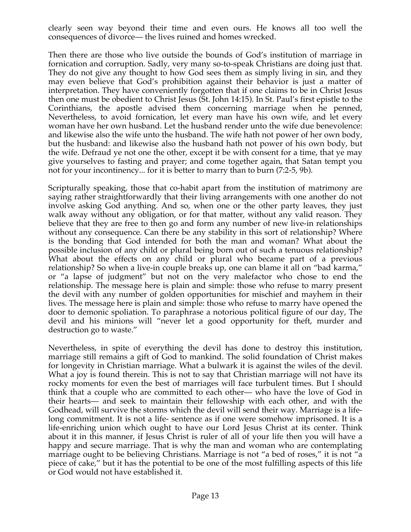clearly seen way beyond their time and even ours. He knows all too well the consequences of divorce— the lives ruined and homes wrecked.

Then there are those who live outside the bounds of God's institution of marriage in fornication and corruption. Sadly, very many so-to-speak Christians are doing just that. They do not give any thought to how God sees them as simply living in sin, and they may even believe that God's prohibition against their behavior is just a matter of interpretation. They have conveniently forgotten that if one claims to be in Christ Jesus then one must be obedient to Christ Jesus (St. John 14:15). In St. Paul's first epistle to the Corinthians, the apostle advised them concerning marriage when he penned, Nevertheless, to avoid fornication, let every man have his own wife, and let every woman have her own husband. Let the husband render unto the wife due benevolence: and likewise also the wife unto the husband. The wife hath not power of her own body, but the husband: and likewise also the husband hath not power of his own body, but the wife. Defraud ye not one the other, except it be with consent for a time, that ye may give yourselves to fasting and prayer; and come together again, that Satan tempt you not for your incontinency... for it is better to marry than to burn (7:2-5, 9b).

Scripturally speaking, those that co-habit apart from the institution of matrimony are saying rather straightforwardly that their living arrangements with one another do not involve asking God anything. And so, when one or the other party leaves, they just walk away without any obligation, or for that matter, without any valid reason. They believe that they are free to then go and form any number of new live-in relationships without any consequence. Can there be any stability in this sort of relationship? Where is the bonding that God intended for both the man and woman? What about the possible inclusion of any child or plural being born out of such a tenuous relationship? What about the effects on any child or plural who became part of a previous relationship? So when a live-in couple breaks up, one can blame it all on "bad karma," or "a lapse of judgment" but not on the very malefactor who chose to end the relationship. The message here is plain and simple: those who refuse to marry present the devil with any number of golden opportunities for mischief and mayhem in their lives. The message here is plain and simple: those who refuse to marry have opened the door to demonic spoliation. To paraphrase a notorious political figure of our day, The devil and his minions will "never let a good opportunity for theft, murder and destruction go to waste."

Nevertheless, in spite of everything the devil has done to destroy this institution, marriage still remains a gift of God to mankind. The solid foundation of Christ makes for longevity in Christian marriage. What a bulwark it is against the wiles of the devil. What a joy is found therein. This is not to say that Christian marriage will not have its rocky moments for even the best of marriages will face turbulent times. But I should think that a couple who are committed to each other— who have the love of God in their hearts— and seek to maintain their fellowship with each other, and with the Godhead, will survive the storms which the devil will send their way. Marriage is a lifelong commitment. It is not a life- sentence as if one were somehow imprisoned. It is a life-enriching union which ought to have our Lord Jesus Christ at its center. Think about it in this manner, if Jesus Christ is ruler of all of your life then you will have a happy and secure marriage. That is why the man and woman who are contemplating marriage ought to be believing Christians. Marriage is not "a bed of roses," it is not "a piece of cake," but it has the potential to be one of the most fulfilling aspects of this life or God would not have established it.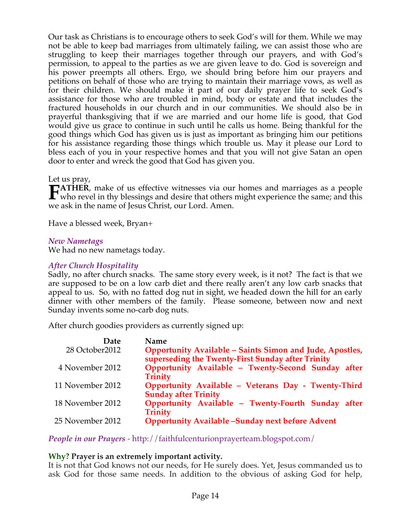Our task as Christians is to encourage others to seek God's will for them. While we may not be able to keep bad marriages from ultimately failing, we can assist those who are struggling to keep their marriages together through our prayers, and with God's permission, to appeal to the parties as we are given leave to do. God is sovereign and his power preempts all others. Ergo, we should bring before him our prayers and petitions on behalf of those who are trying to maintain their marriage vows, as well as for their children. We should make it part of our daily prayer life to seek God's assistance for those who are troubled in mind, body or estate and that includes the fractured households in our church and in our communities. We should also be in prayerful thanksgiving that if we are married and our home life is good, that God would give us grace to continue in such until he calls us home. Being thankful for the good things which God has given us is just as important as bringing him our petitions for his assistance regarding those things which trouble us. May it please our Lord to bless each of you in your respective homes and that you will not give Satan an open door to enter and wreck the good that God has given you.

Let us pray,

**ATHER**, make of us effective witnesses via our homes and marriages as a people **FATHER**, make of us effective witnesses via our homes and marriages as a people who revel in thy blessings and desire that others might experience the same; and this we ask in the name of Jesus Christ, our Lord. Amen.

Have a blessed week, Bryan+

#### *New Nametags*

We had no new nametags today.

#### *After Church Hospitality*

Sadly, no after church snacks. The same story every week, is it not? The fact is that we are supposed to be on a low carb diet and there really aren't any low carb snacks that appeal to us. So, with no fatted dog nut in sight, we headed down the hill for an early dinner with other members of the family. Please someone, between now and next Sunday invents some no-carb dog nuts.

After church goodies providers as currently signed up:

| Date             | <b>Name</b>                                                                                                   |
|------------------|---------------------------------------------------------------------------------------------------------------|
| 28 October2012   | Opportunity Available - Saints Simon and Jude, Apostles,<br>superseding the Twenty-First Sunday after Trinity |
| 4 November 2012  | Opportunity Available - Twenty-Second Sunday after<br><b>Trinity</b>                                          |
| 11 November 2012 | Opportunity Available - Veterans Day - Twenty-Third<br><b>Sunday after Trinity</b>                            |
| 18 November 2012 | Opportunity Available - Twenty-Fourth Sunday after<br><b>Trinity</b>                                          |
| 25 November 2012 | <b>Opportunity Available -Sunday next before Advent</b>                                                       |

*People in our Prayers* - http://faithfulcenturionprayerteam.blogspot.com/

#### **Why? Prayer is an extremely important activity.**

It is not that God knows not our needs, for He surely does. Yet, Jesus commanded us to ask God for those same needs. In addition to the obvious of asking God for help,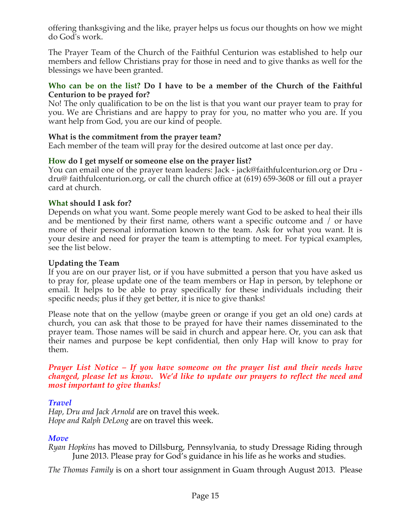offering thanksgiving and the like, prayer helps us focus our thoughts on how we might do God's work.

The Prayer Team of the Church of the Faithful Centurion was established to help our members and fellow Christians pray for those in need and to give thanks as well for the blessings we have been granted.

#### **Who can be on the list? Do I have to be a member of the Church of the Faithful Centurion to be prayed for?**

No! The only qualification to be on the list is that you want our prayer team to pray for you. We are Christians and are happy to pray for you, no matter who you are. If you want help from God, you are our kind of people.

# **What is the commitment from the prayer team?**

Each member of the team will pray for the desired outcome at last once per day.

# **How do I get myself or someone else on the prayer list?**

You can email one of the prayer team leaders: Jack - jack@faithfulcenturion.org or Dru dru@ faithfulcenturion.org, or call the church office at (619) 659-3608 or fill out a prayer card at church.

# **What should I ask for?**

Depends on what you want. Some people merely want God to be asked to heal their ills and be mentioned by their first name, others want a specific outcome and / or have more of their personal information known to the team. Ask for what you want. It is your desire and need for prayer the team is attempting to meet. For typical examples, see the list below.

# **Updating the Team**

If you are on our prayer list, or if you have submitted a person that you have asked us to pray for, please update one of the team members or Hap in person, by telephone or email. It helps to be able to pray specifically for these individuals including their specific needs; plus if they get better, it is nice to give thanks!

Please note that on the yellow (maybe green or orange if you get an old one) cards at church, you can ask that those to be prayed for have their names disseminated to the prayer team. Those names will be said in church and appear here. Or, you can ask that their names and purpose be kept confidential, then only Hap will know to pray for them.

#### *Prayer List Notice – If you have someone on the prayer list and their needs have changed, please let us know. We'd like to update our prayers to reflect the need and most important to give thanks!*

# *Travel*

*Hap, Dru and Jack Arnold* are on travel this week. *Hope and Ralph DeLong* are on travel this week.

# *Move*

*Ryan Hopkins* has moved to Dillsburg, Pennsylvania, to study Dressage Riding through June 2013. Please pray for God's guidance in his life as he works and studies.

*The Thomas Family* is on a short tour assignment in Guam through August 2013. Please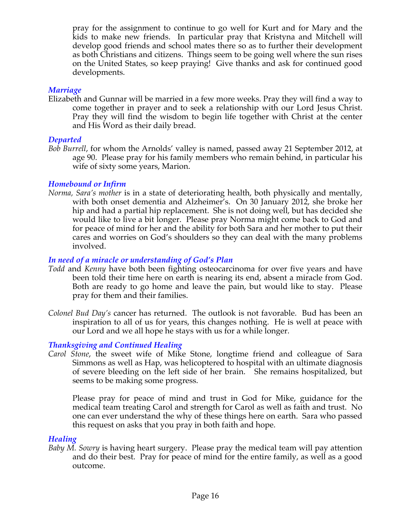pray for the assignment to continue to go well for Kurt and for Mary and the kids to make new friends. In particular pray that Kristyna and Mitchell will develop good friends and school mates there so as to further their development as both Christians and citizens. Things seem to be going well where the sun rises on the United States, so keep praying! Give thanks and ask for continued good developments.

#### *Marriage*

Elizabeth and Gunnar will be married in a few more weeks. Pray they will find a way to come together in prayer and to seek a relationship with our Lord Jesus Christ. Pray they will find the wisdom to begin life together with Christ at the center and His Word as their daily bread.

### *Departed*

*Bob Burrell*, for whom the Arnolds' valley is named, passed away 21 September 2012, at age 90. Please pray for his family members who remain behind, in particular his wife of sixty some years, Marion.

### *Homebound or Infirm*

*Norma, Sara's mother* is in a state of deteriorating health, both physically and mentally, with both onset dementia and Alzheimer's. On 30 January 2012, she broke her hip and had a partial hip replacement. She is not doing well, but has decided she would like to live a bit longer. Please pray Norma might come back to God and for peace of mind for her and the ability for both Sara and her mother to put their cares and worries on God's shoulders so they can deal with the many problems involved.

### *In need of a miracle or understanding of God's Plan*

- *Todd* and *Kenny* have both been fighting osteocarcinoma for over five years and have been told their time here on earth is nearing its end, absent a miracle from God. Both are ready to go home and leave the pain, but would like to stay. Please pray for them and their families.
- *Colonel Bud Day's* cancer has returned. The outlook is not favorable. Bud has been an inspiration to all of us for years, this changes nothing. He is well at peace with our Lord and we all hope he stays with us for a while longer.

# *Thanksgiving and Continued Healing*

*Carol Stone*, the sweet wife of Mike Stone, longtime friend and colleague of Sara Simmons as well as Hap, was helicoptered to hospital with an ultimate diagnosis of severe bleeding on the left side of her brain. She remains hospitalized, but seems to be making some progress.

Please pray for peace of mind and trust in God for Mike, guidance for the medical team treating Carol and strength for Carol as well as faith and trust. No one can ever understand the why of these things here on earth. Sara who passed this request on asks that you pray in both faith and hope.

# *Healing*

*Baby M. Sowry* is having heart surgery. Please pray the medical team will pay attention and do their best. Pray for peace of mind for the entire family, as well as a good outcome.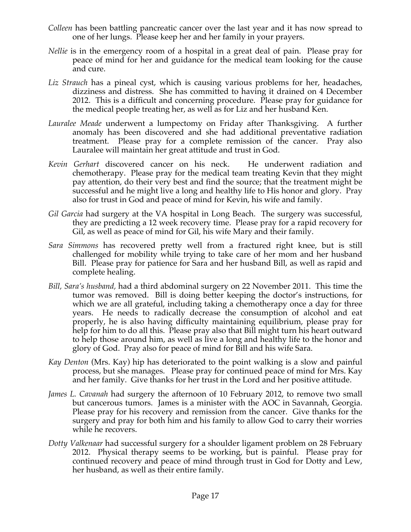- *Colleen* has been battling pancreatic cancer over the last year and it has now spread to one of her lungs. Please keep her and her family in your prayers.
- *Nellie* is in the emergency room of a hospital in a great deal of pain. Please pray for peace of mind for her and guidance for the medical team looking for the cause and cure.
- *Liz Strauch* has a pineal cyst, which is causing various problems for her, headaches, dizziness and distress. She has committed to having it drained on 4 December 2012. This is a difficult and concerning procedure. Please pray for guidance for the medical people treating her, as well as for Liz and her husband Ken.
- *Lauralee Meade* underwent a lumpectomy on Friday after Thanksgiving. A further anomaly has been discovered and she had additional preventative radiation treatment. Please pray for a complete remission of the cancer. Pray also Lauralee will maintain her great attitude and trust in God.
- *Kevin Gerhart* discovered cancer on his neck. He underwent radiation and chemotherapy. Please pray for the medical team treating Kevin that they might pay attention, do their very best and find the source; that the treatment might be successful and he might live a long and healthy life to His honor and glory. Pray also for trust in God and peace of mind for Kevin, his wife and family.
- *Gil Garcia* had surgery at the VA hospital in Long Beach. The surgery was successful, they are predicting a 12 week recovery time. Please pray for a rapid recovery for Gil, as well as peace of mind for Gil, his wife Mary and their family.
- *Sara Simmons* has recovered pretty well from a fractured right knee, but is still challenged for mobility while trying to take care of her mom and her husband Bill. Please pray for patience for Sara and her husband Bill, as well as rapid and complete healing.
- *Bill, Sara's husband,* had a third abdominal surgery on 22 November 2011. This time the tumor was removed. Bill is doing better keeping the doctor's instructions, for which we are all grateful, including taking a chemotherapy once a day for three years. He needs to radically decrease the consumption of alcohol and eat properly, he is also having difficulty maintaining equilibrium, please pray for help for him to do all this. Please pray also that Bill might turn his heart outward to help those around him, as well as live a long and healthy life to the honor and glory of God. Pray also for peace of mind for Bill and his wife Sara.
- *Kay Denton* (Mrs. Kay) hip has deteriorated to the point walking is a slow and painful process, but she manages. Please pray for continued peace of mind for Mrs. Kay and her family. Give thanks for her trust in the Lord and her positive attitude.
- *James L. Cavanah* had surgery the afternoon of 10 February 2012, to remove two small but cancerous tumors. James is a minister with the AOC in Savannah, Georgia. Please pray for his recovery and remission from the cancer. Give thanks for the surgery and pray for both him and his family to allow God to carry their worries while he recovers.
- *Dotty Valkenaar* had successful surgery for a shoulder ligament problem on 28 February 2012. Physical therapy seems to be working, but is painful. Please pray for continued recovery and peace of mind through trust in God for Dotty and Lew, her husband, as well as their entire family.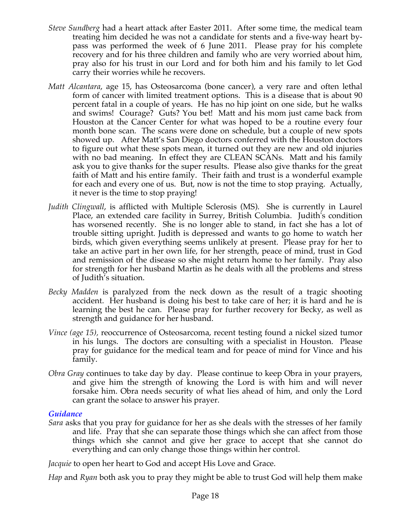- *Steve Sundberg* had a heart attack after Easter 2011. After some time, the medical team treating him decided he was not a candidate for stents and a five-way heart bypass was performed the week of 6 June 2011. Please pray for his complete recovery and for his three children and family who are very worried about him, pray also for his trust in our Lord and for both him and his family to let God carry their worries while he recovers.
- *Matt Alcantara*, age 15, has Osteosarcoma (bone cancer), a very rare and often lethal form of cancer with limited treatment options. This is a disease that is about 90 percent fatal in a couple of years. He has no hip joint on one side, but he walks and swims! Courage? Guts? You bet! Matt and his mom just came back from Houston at the Cancer Center for what was hoped to be a routine every four month bone scan. The scans were done on schedule, but a couple of new spots showed up. After Matt's San Diego doctors conferred with the Houston doctors to figure out what these spots mean, it turned out they are new and old injuries with no bad meaning. In effect they are CLEAN SCANs. Matt and his family ask you to give thanks for the super results. Please also give thanks for the great faith of Matt and his entire family. Their faith and trust is a wonderful example for each and every one of us. But, now is not the time to stop praying. Actually, it never is the time to stop praying!
- *Judith Clingwall*, is afflicted with Multiple Sclerosis (MS). She is currently in Laurel Place, an extended care facility in Surrey, British Columbia. Judith's condition has worsened recently. She is no longer able to stand, in fact she has a lot of trouble sitting upright. Judith is depressed and wants to go home to watch her birds, which given everything seems unlikely at present. Please pray for her to take an active part in her own life, for her strength, peace of mind, trust in God and remission of the disease so she might return home to her family. Pray also for strength for her husband Martin as he deals with all the problems and stress of Judith's situation.
- *Becky Madden* is paralyzed from the neck down as the result of a tragic shooting accident. Her husband is doing his best to take care of her; it is hard and he is learning the best he can. Please pray for further recovery for Becky, as well as strength and guidance for her husband.
- *Vince (age 15),* reoccurrence of Osteosarcoma, recent testing found a nickel sized tumor in his lungs. The doctors are consulting with a specialist in Houston. Please pray for guidance for the medical team and for peace of mind for Vince and his family.
- *Obra Gray* continues to take day by day. Please continue to keep Obra in your prayers, and give him the strength of knowing the Lord is with him and will never forsake him. Obra needs security of what lies ahead of him, and only the Lord can grant the solace to answer his prayer.

#### *Guidance*

*Sara* asks that you pray for guidance for her as she deals with the stresses of her family and life. Pray that she can separate those things which she can affect from those things which she cannot and give her grace to accept that she cannot do everything and can only change those things within her control.

*Jacquie* to open her heart to God and accept His Love and Grace.

*Hap* and *Ryan* both ask you to pray they might be able to trust God will help them make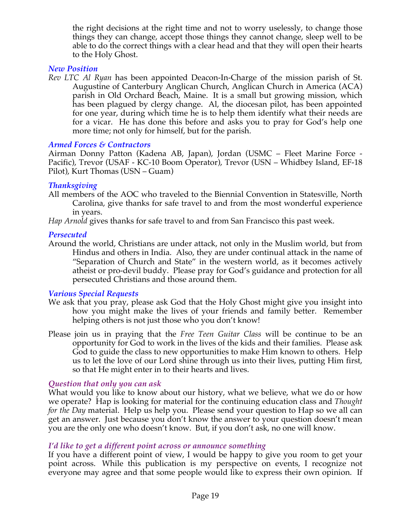the right decisions at the right time and not to worry uselessly, to change those things they can change, accept those things they cannot change, sleep well to be able to do the correct things with a clear head and that they will open their hearts to the Holy Ghost.

#### *New Position*

*Rev LTC Al Ryan* has been appointed Deacon-In-Charge of the mission parish of St. Augustine of Canterbury Anglican Church, Anglican Church in America (ACA) parish in Old Orchard Beach, Maine. It is a small but growing mission, which has been plagued by clergy change. Al, the diocesan pilot, has been appointed for one year, during which time he is to help them identify what their needs are for a vicar. He has done this before and asks you to pray for God's help one more time; not only for himself, but for the parish.

### *Armed Forces & Contractors*

Airman Donny Patton (Kadena AB, Japan), Jordan (USMC – Fleet Marine Force - Pacific), Trevor (USAF - KC-10 Boom Operator), Trevor (USN – Whidbey Island, EF-18 Pilot), Kurt Thomas (USN – Guam)

### *Thanksgiving*

All members of the AOC who traveled to the Biennial Convention in Statesville, North Carolina, give thanks for safe travel to and from the most wonderful experience in years.

*Hap Arnold* gives thanks for safe travel to and from San Francisco this past week.

### *Persecuted*

Around the world, Christians are under attack, not only in the Muslim world, but from Hindus and others in India. Also, they are under continual attack in the name of "Separation of Church and State" in the western world, as it becomes actively atheist or pro-devil buddy. Please pray for God's guidance and protection for all persecuted Christians and those around them.

# *Various Special Requests*

- We ask that you pray, please ask God that the Holy Ghost might give you insight into how you might make the lives of your friends and family better. Remember helping others is not just those who you don't know!
- Please join us in praying that the *Free Teen Guitar Class* will be continue to be an opportunity for God to work in the lives of the kids and their families. Please ask God to guide the class to new opportunities to make Him known to others. Help us to let the love of our Lord shine through us into their lives, putting Him first, so that He might enter in to their hearts and lives.

# *Question that only you can ask*

What would you like to know about our history, what we believe, what we do or how we operate? Hap is looking for material for the continuing education class and *Thought for the Day* material. Help us help you. Please send your question to Hap so we all can get an answer. Just because you don't know the answer to your question doesn't mean you are the only one who doesn't know. But, if you don't ask, no one will know.

# *I'd like to get a different point across or announce something*

If you have a different point of view, I would be happy to give you room to get your point across. While this publication is my perspective on events, I recognize not everyone may agree and that some people would like to express their own opinion. If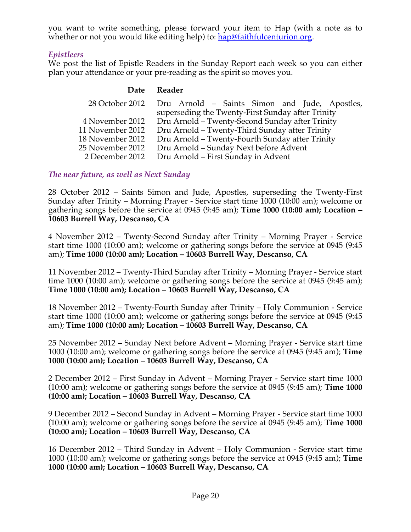you want to write something, please forward your item to Hap (with a note as to whether or not you would like editing help) to: hap@faithfulcenturion.org.

# *Epistleers*

We post the list of Epistle Readers in the Sunday Report each week so you can either plan your attendance or your pre-reading as the spirit so moves you.

#### **Date Reader**

|                  | 28 October 2012 Dru Arnold - Saints Simon and Jude, Apostles, |
|------------------|---------------------------------------------------------------|
|                  | superseding the Twenty-First Sunday after Trinity             |
| 4 November 2012  | Dru Arnold – Twenty-Second Sunday after Trinity               |
| 11 November 2012 | Dru Arnold - Twenty-Third Sunday after Trinity                |
| 18 November 2012 | Dru Arnold - Twenty-Fourth Sunday after Trinity               |
| 25 November 2012 | Dru Arnold – Sunday Next before Advent                        |
| 2 December 2012  | Dru Arnold – First Sunday in Advent                           |

*The near future, as well as Next Sunday*

28 October 2012 – Saints Simon and Jude, Apostles, superseding the Twenty-First Sunday after Trinity – Morning Prayer - Service start time 1000 (10:00 am); welcome or gathering songs before the service at 0945 (9:45 am); **Time 1000 (10:00 am); Location – 10603 Burrell Way, Descanso, CA**

4 November 2012 – Twenty-Second Sunday after Trinity – Morning Prayer - Service start time 1000 (10:00 am); welcome or gathering songs before the service at 0945 (9:45 am); **Time 1000 (10:00 am); Location – 10603 Burrell Way, Descanso, CA**

11 November 2012 – Twenty-Third Sunday after Trinity – Morning Prayer - Service start time 1000 (10:00 am); welcome or gathering songs before the service at 0945 (9:45 am); **Time 1000 (10:00 am); Location – 10603 Burrell Way, Descanso, CA**

18 November 2012 – Twenty-Fourth Sunday after Trinity – Holy Communion - Service start time 1000 (10:00 am); welcome or gathering songs before the service at 0945 (9:45 am); **Time 1000 (10:00 am); Location – 10603 Burrell Way, Descanso, CA**

25 November 2012 – Sunday Next before Advent – Morning Prayer - Service start time 1000 (10:00 am); welcome or gathering songs before the service at 0945 (9:45 am); **Time 1000 (10:00 am); Location – 10603 Burrell Way, Descanso, CA**

2 December 2012 – First Sunday in Advent – Morning Prayer - Service start time 1000 (10:00 am); welcome or gathering songs before the service at 0945 (9:45 am); **Time 1000 (10:00 am); Location – 10603 Burrell Way, Descanso, CA**

9 December 2012 – Second Sunday in Advent – Morning Prayer - Service start time 1000 (10:00 am); welcome or gathering songs before the service at 0945 (9:45 am); **Time 1000 (10:00 am); Location – 10603 Burrell Way, Descanso, CA**

16 December 2012 – Third Sunday in Advent – Holy Communion - Service start time 1000 (10:00 am); welcome or gathering songs before the service at 0945 (9:45 am); **Time 1000 (10:00 am); Location – 10603 Burrell Way, Descanso, CA**